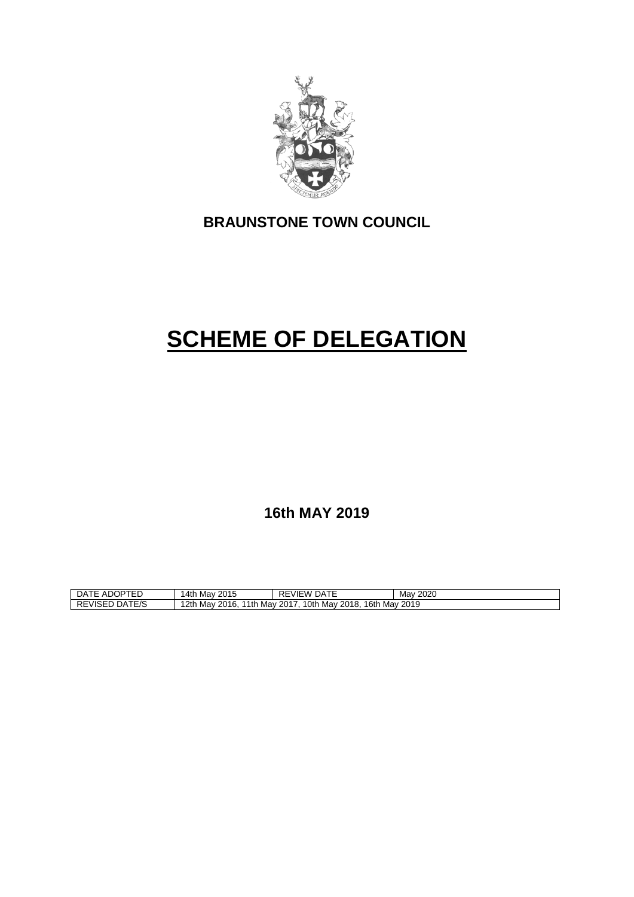

# **BRAUNSTONE TOWN COUNCIL**

# **SCHEME OF DELEGATION**

**16th MAY 2019**

| <b>\DOPTED</b><br>۵Α<br>ADOP<br>. L . | 2015<br>14th<br>Mav                                                                                   | $- - -$<br>ים ס<br>DATE<br>VIEW<br>↖⊏ | 2020<br>Mav |
|---------------------------------------|-------------------------------------------------------------------------------------------------------|---------------------------------------|-------------|
| ATE/S<br><b>REVISED</b><br>- AC       | Mav<br>12th<br>16th<br>Mav<br>2017<br>2019<br>10th<br>2016.<br>$\cdot$ 2018.<br>' 1th<br>Mav<br>. Mav |                                       |             |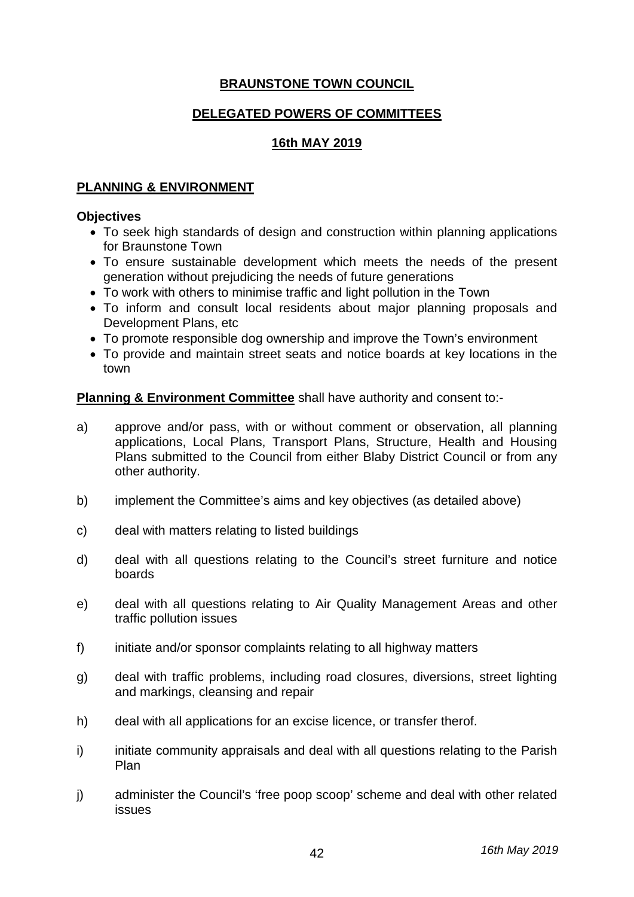# **BRAUNSTONE TOWN COUNCIL**

#### **DELEGATED POWERS OF COMMITTEES**

#### **16th MAY 2019**

#### **PLANNING & ENVIRONMENT**

#### **Objectives**

- To seek high standards of design and construction within planning applications for Braunstone Town
- To ensure sustainable development which meets the needs of the present generation without prejudicing the needs of future generations
- To work with others to minimise traffic and light pollution in the Town
- To inform and consult local residents about major planning proposals and Development Plans, etc
- To promote responsible dog ownership and improve the Town's environment
- To provide and maintain street seats and notice boards at key locations in the town

**Planning & Environment Committee** shall have authority and consent to:-

- a) approve and/or pass, with or without comment or observation, all planning applications, Local Plans, Transport Plans, Structure, Health and Housing Plans submitted to the Council from either Blaby District Council or from any other authority.
- b) implement the Committee's aims and key objectives (as detailed above)
- c) deal with matters relating to listed buildings
- d) deal with all questions relating to the Council's street furniture and notice boards
- e) deal with all questions relating to Air Quality Management Areas and other traffic pollution issues
- f) initiate and/or sponsor complaints relating to all highway matters
- g) deal with traffic problems, including road closures, diversions, street lighting and markings, cleansing and repair
- h) deal with all applications for an excise licence, or transfer therof.
- i) initiate community appraisals and deal with all questions relating to the Parish Plan
- j) administer the Council's 'free poop scoop' scheme and deal with other related issues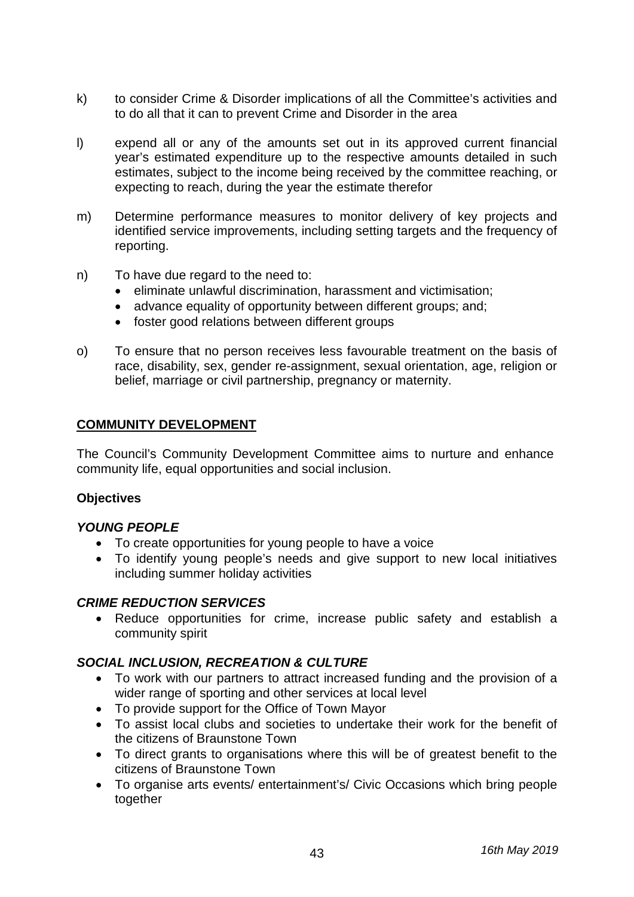- k) to consider Crime & Disorder implications of all the Committee's activities and to do all that it can to prevent Crime and Disorder in the area
- l) expend all or any of the amounts set out in its approved current financial year's estimated expenditure up to the respective amounts detailed in such estimates, subject to the income being received by the committee reaching, or expecting to reach, during the year the estimate therefor
- m) Determine performance measures to monitor delivery of key projects and identified service improvements, including setting targets and the frequency of reporting.
- n) To have due regard to the need to:
	- eliminate unlawful discrimination, harassment and victimisation;
	- advance equality of opportunity between different groups; and;
	- foster good relations between different groups
- o) To ensure that no person receives less favourable treatment on the basis of race, disability, sex, gender re-assignment, sexual orientation, age, religion or belief, marriage or civil partnership, pregnancy or maternity.

#### **COMMUNITY DEVELOPMENT**

The Council's Community Development Committee aims to nurture and enhance community life, equal opportunities and social inclusion.

#### **Objectives**

#### *YOUNG PEOPLE*

- To create opportunities for young people to have a voice
- To identify young people's needs and give support to new local initiatives including summer holiday activities

#### *CRIME REDUCTION SERVICES*

• Reduce opportunities for crime, increase public safety and establish a community spirit

#### *SOCIAL INCLUSION, RECREATION & CULTURE*

- To work with our partners to attract increased funding and the provision of a wider range of sporting and other services at local level
- To provide support for the Office of Town Mayor
- To assist local clubs and societies to undertake their work for the benefit of the citizens of Braunstone Town
- To direct grants to organisations where this will be of greatest benefit to the citizens of Braunstone Town
- To organise arts events/ entertainment's/ Civic Occasions which bring people together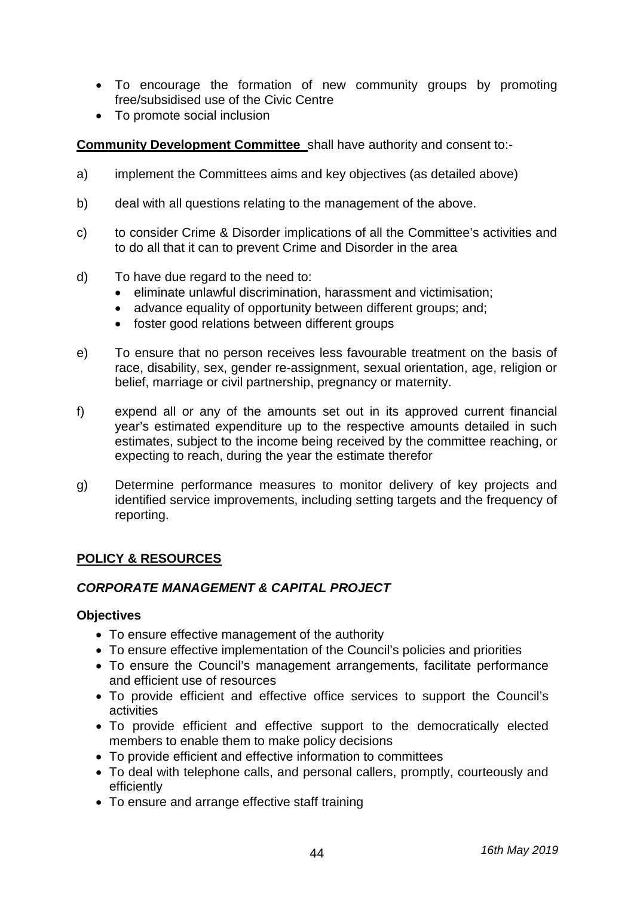- To encourage the formation of new community groups by promoting free/subsidised use of the Civic Centre
- To promote social inclusion

**Community Development Committee** shall have authority and consent to:-

- a) implement the Committees aims and key objectives (as detailed above)
- b) deal with all questions relating to the management of the above.
- c) to consider Crime & Disorder implications of all the Committee's activities and to do all that it can to prevent Crime and Disorder in the area
- d) To have due regard to the need to:
	- eliminate unlawful discrimination, harassment and victimisation;
	- advance equality of opportunity between different groups; and;
	- foster good relations between different groups
- e) To ensure that no person receives less favourable treatment on the basis of race, disability, sex, gender re-assignment, sexual orientation, age, religion or belief, marriage or civil partnership, pregnancy or maternity.
- f) expend all or any of the amounts set out in its approved current financial year's estimated expenditure up to the respective amounts detailed in such estimates, subject to the income being received by the committee reaching, or expecting to reach, during the year the estimate therefor
- g) Determine performance measures to monitor delivery of key projects and identified service improvements, including setting targets and the frequency of reporting.

# **POLICY & RESOURCES**

#### *CORPORATE MANAGEMENT & CAPITAL PROJECT*

#### **Objectives**

- To ensure effective management of the authority
- To ensure effective implementation of the Council's policies and priorities
- To ensure the Council's management arrangements, facilitate performance and efficient use of resources
- To provide efficient and effective office services to support the Council's activities
- To provide efficient and effective support to the democratically elected members to enable them to make policy decisions
- To provide efficient and effective information to committees
- To deal with telephone calls, and personal callers, promptly, courteously and efficiently
- To ensure and arrange effective staff training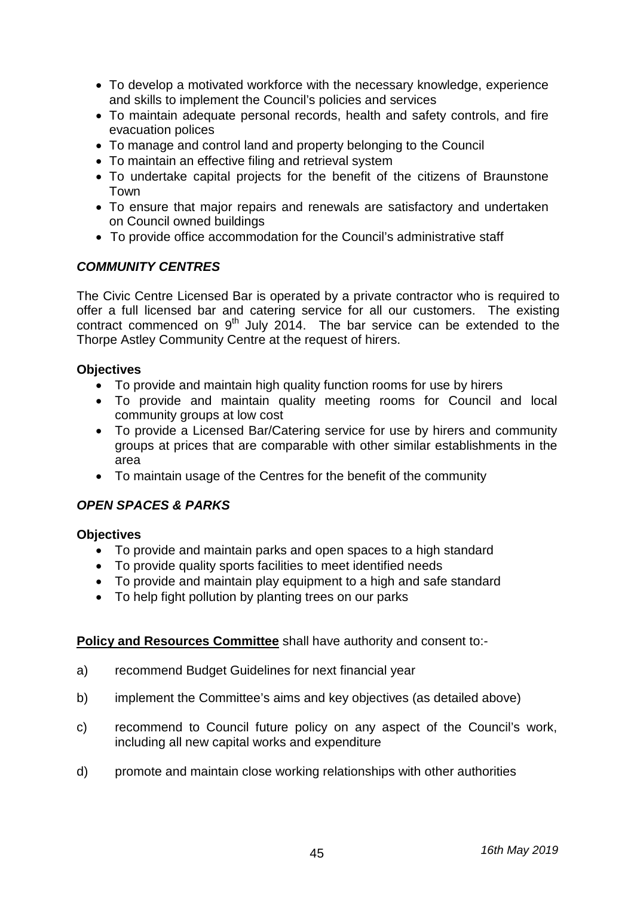- To develop a motivated workforce with the necessary knowledge, experience and skills to implement the Council's policies and services
- To maintain adequate personal records, health and safety controls, and fire evacuation polices
- To manage and control land and property belonging to the Council
- To maintain an effective filing and retrieval system
- To undertake capital projects for the benefit of the citizens of Braunstone Town
- To ensure that major repairs and renewals are satisfactory and undertaken on Council owned buildings
- To provide office accommodation for the Council's administrative staff

# *COMMUNITY CENTRES*

The Civic Centre Licensed Bar is operated by a private contractor who is required to offer a full licensed bar and catering service for all our customers. The existing contract commenced on 9<sup>th</sup> July 2014. The bar service can be extended to the Thorpe Astley Community Centre at the request of hirers.

# **Objectives**

- To provide and maintain high quality function rooms for use by hirers
- To provide and maintain quality meeting rooms for Council and local community groups at low cost
- To provide a Licensed Bar/Catering service for use by hirers and community groups at prices that are comparable with other similar establishments in the area
- To maintain usage of the Centres for the benefit of the community

# *OPEN SPACES & PARKS*

# **Objectives**

- To provide and maintain parks and open spaces to a high standard
- To provide quality sports facilities to meet identified needs
- To provide and maintain play equipment to a high and safe standard
- To help fight pollution by planting trees on our parks

# **Policy and Resources Committee** shall have authority and consent to:-

- a) recommend Budget Guidelines for next financial year
- b) implement the Committee's aims and key objectives (as detailed above)
- c) recommend to Council future policy on any aspect of the Council's work, including all new capital works and expenditure
- d) promote and maintain close working relationships with other authorities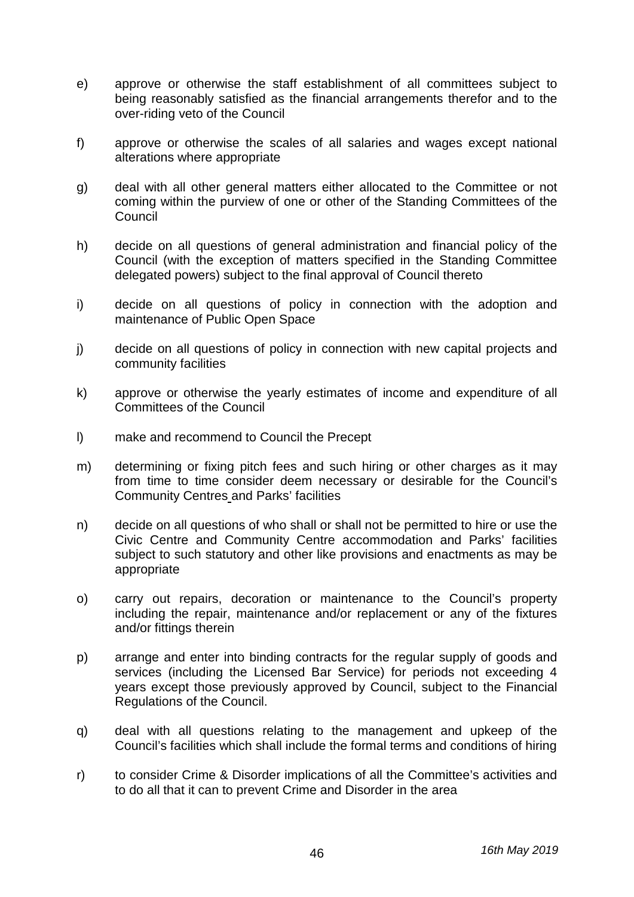- e) approve or otherwise the staff establishment of all committees subject to being reasonably satisfied as the financial arrangements therefor and to the over-riding veto of the Council
- f) approve or otherwise the scales of all salaries and wages except national alterations where appropriate
- g) deal with all other general matters either allocated to the Committee or not coming within the purview of one or other of the Standing Committees of the Council
- h) decide on all questions of general administration and financial policy of the Council (with the exception of matters specified in the Standing Committee delegated powers) subject to the final approval of Council thereto
- i) decide on all questions of policy in connection with the adoption and maintenance of Public Open Space
- j) decide on all questions of policy in connection with new capital projects and community facilities
- k) approve or otherwise the yearly estimates of income and expenditure of all Committees of the Council
- l) make and recommend to Council the Precept
- m) determining or fixing pitch fees and such hiring or other charges as it may from time to time consider deem necessary or desirable for the Council's Community Centres and Parks' facilities
- n) decide on all questions of who shall or shall not be permitted to hire or use the Civic Centre and Community Centre accommodation and Parks' facilities subject to such statutory and other like provisions and enactments as may be appropriate
- o) carry out repairs, decoration or maintenance to the Council's property including the repair, maintenance and/or replacement or any of the fixtures and/or fittings therein
- p) arrange and enter into binding contracts for the regular supply of goods and services (including the Licensed Bar Service) for periods not exceeding 4 years except those previously approved by Council, subject to the Financial Regulations of the Council.
- q) deal with all questions relating to the management and upkeep of the Council's facilities which shall include the formal terms and conditions of hiring
- r) to consider Crime & Disorder implications of all the Committee's activities and to do all that it can to prevent Crime and Disorder in the area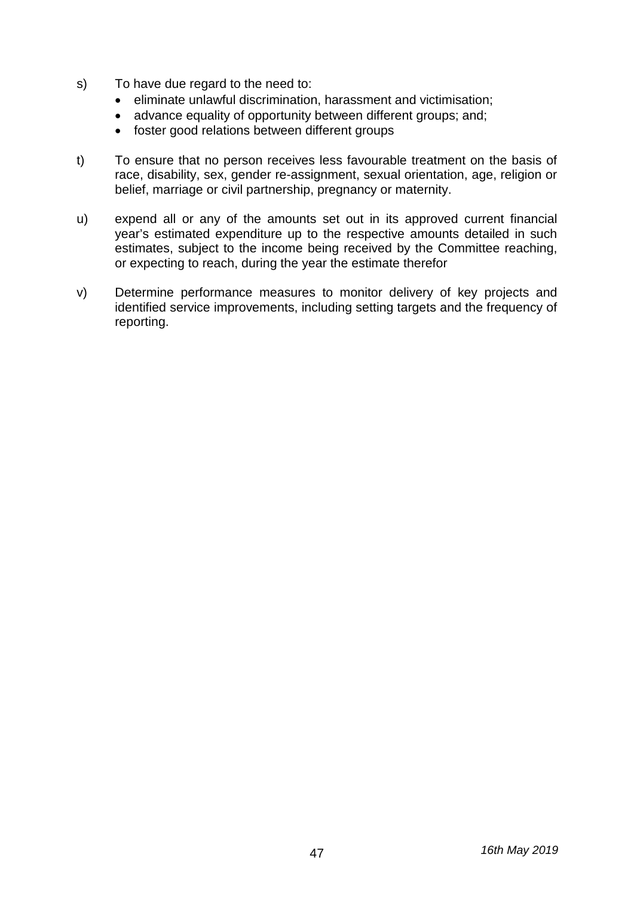- s) To have due regard to the need to:
	- eliminate unlawful discrimination, harassment and victimisation;
	- advance equality of opportunity between different groups; and;
	- foster good relations between different groups
- t) To ensure that no person receives less favourable treatment on the basis of race, disability, sex, gender re-assignment, sexual orientation, age, religion or belief, marriage or civil partnership, pregnancy or maternity.
- u) expend all or any of the amounts set out in its approved current financial year's estimated expenditure up to the respective amounts detailed in such estimates, subject to the income being received by the Committee reaching, or expecting to reach, during the year the estimate therefor
- v) Determine performance measures to monitor delivery of key projects and identified service improvements, including setting targets and the frequency of reporting.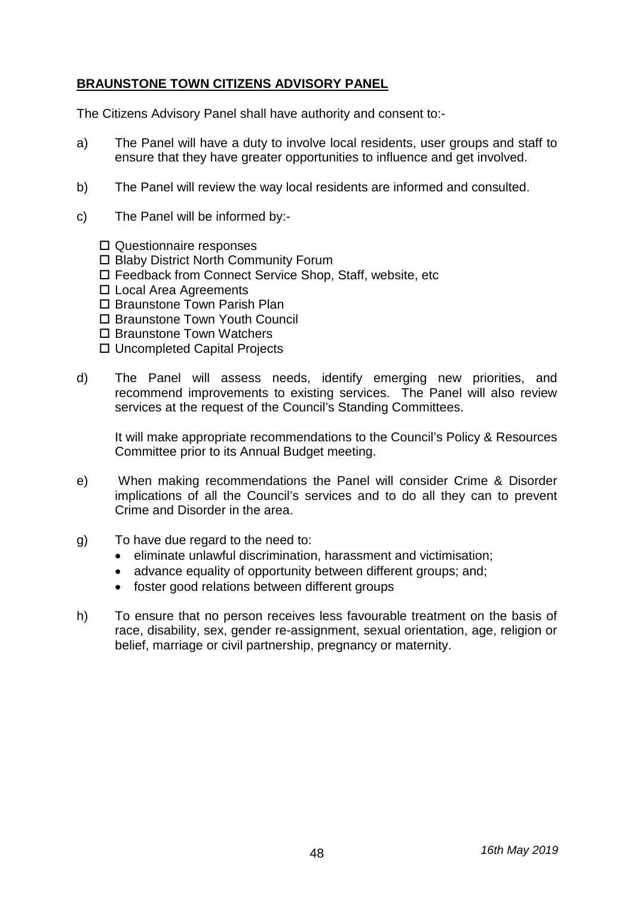# **BRAUNSTONE TOWN CITIZENS ADVISORY PANEL**

The Citizens Advisory Panel shall have authority and consent to:-

- a) The Panel will have a duty to involve local residents, user groups and staff to ensure that they have greater opportunities to influence and get involved.
- b) The Panel will review the way local residents are informed and consulted.
- c) The Panel will be informed by:-
	- □ Questionnaire responses
	- □ Blaby District North Community Forum
	- Feedback from Connect Service Shop, Staff, website, etc
	- □ Local Area Agreements
	- □ Braunstone Town Parish Plan
	- □ Braunstone Town Youth Council
	- □ Braunstone Town Watchers
	- □ Uncompleted Capital Projects
- d) The Panel will assess needs, identify emerging new priorities, and recommend improvements to existing services. The Panel will also review services at the request of the Council's Standing Committees.

It will make appropriate recommendations to the Council's Policy & Resources Committee prior to its Annual Budget meeting.

- e) When making recommendations the Panel will consider Crime & Disorder implications of all the Council's services and to do all they can to prevent Crime and Disorder in the area.
- g) To have due regard to the need to:
	- eliminate unlawful discrimination, harassment and victimisation;
	- advance equality of opportunity between different groups; and;
	- foster good relations between different groups
- h) To ensure that no person receives less favourable treatment on the basis of race, disability, sex, gender re-assignment, sexual orientation, age, religion or belief, marriage or civil partnership, pregnancy or maternity.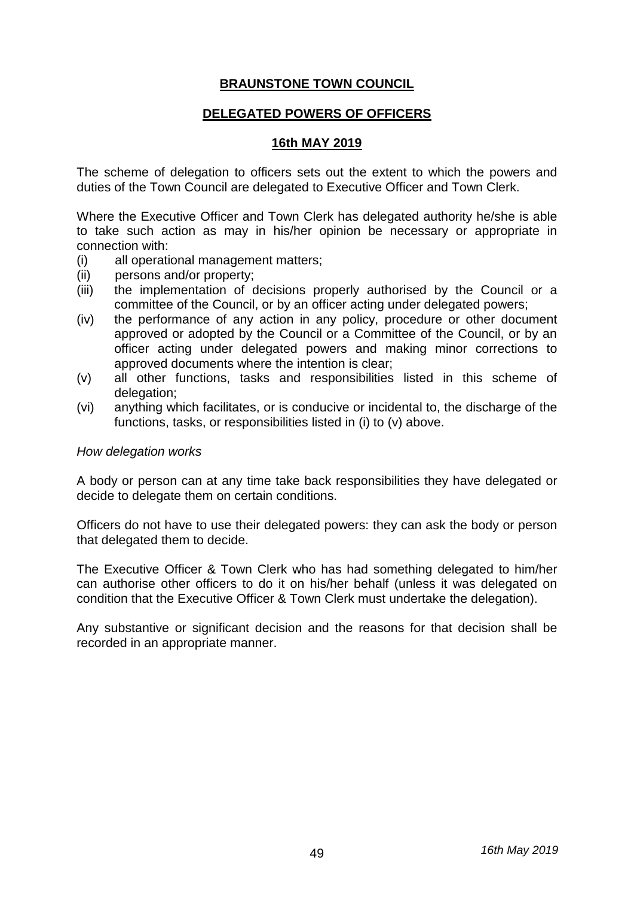# **BRAUNSTONE TOWN COUNCIL**

#### **DELEGATED POWERS OF OFFICERS**

#### **16th MAY 2019**

The scheme of delegation to officers sets out the extent to which the powers and duties of the Town Council are delegated to Executive Officer and Town Clerk.

Where the Executive Officer and Town Clerk has delegated authority he/she is able to take such action as may in his/her opinion be necessary or appropriate in connection with:

- (i) all operational management matters;
- (ii) persons and/or property;
- (iii) the implementation of decisions properly authorised by the Council or a committee of the Council, or by an officer acting under delegated powers;
- (iv) the performance of any action in any policy, procedure or other document approved or adopted by the Council or a Committee of the Council, or by an officer acting under delegated powers and making minor corrections to approved documents where the intention is clear;
- (v) all other functions, tasks and responsibilities listed in this scheme of delegation:
- (vi) anything which facilitates, or is conducive or incidental to, the discharge of the functions, tasks, or responsibilities listed in (i) to (v) above.

#### *How delegation works*

A body or person can at any time take back responsibilities they have delegated or decide to delegate them on certain conditions.

Officers do not have to use their delegated powers: they can ask the body or person that delegated them to decide.

The Executive Officer & Town Clerk who has had something delegated to him/her can authorise other officers to do it on his/her behalf (unless it was delegated on condition that the Executive Officer & Town Clerk must undertake the delegation).

Any substantive or significant decision and the reasons for that decision shall be recorded in an appropriate manner.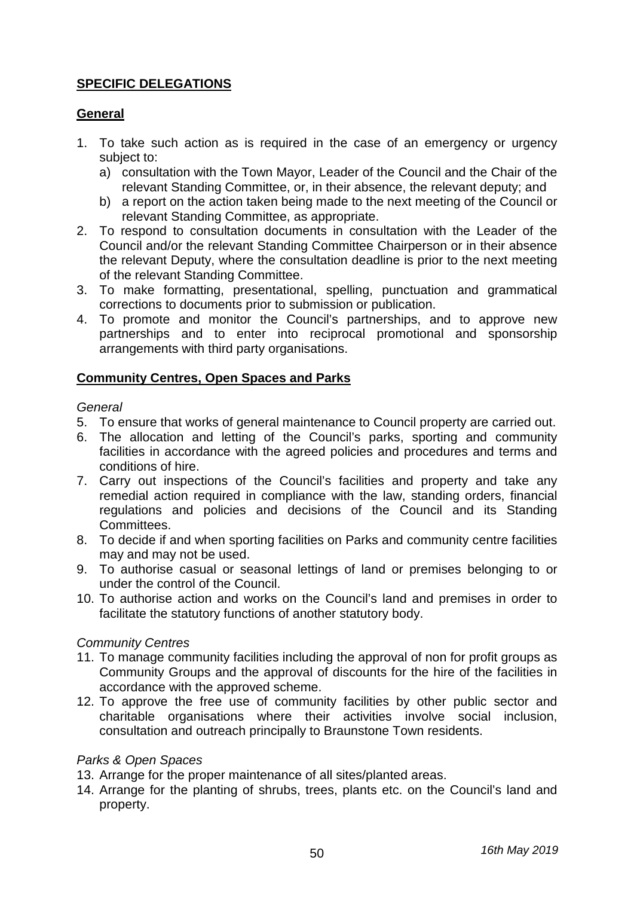# **SPECIFIC DELEGATIONS**

# **General**

- 1. To take such action as is required in the case of an emergency or urgency subject to:
	- a) consultation with the Town Mayor, Leader of the Council and the Chair of the relevant Standing Committee, or, in their absence, the relevant deputy; and
	- b) a report on the action taken being made to the next meeting of the Council or relevant Standing Committee, as appropriate.
- 2. To respond to consultation documents in consultation with the Leader of the Council and/or the relevant Standing Committee Chairperson or in their absence the relevant Deputy, where the consultation deadline is prior to the next meeting of the relevant Standing Committee.
- 3. To make formatting, presentational, spelling, punctuation and grammatical corrections to documents prior to submission or publication.
- 4. To promote and monitor the Council's partnerships, and to approve new partnerships and to enter into reciprocal promotional and sponsorship arrangements with third party organisations.

#### **Community Centres, Open Spaces and Parks**

#### *General*

- 5. To ensure that works of general maintenance to Council property are carried out.
- 6. The allocation and letting of the Council's parks, sporting and community facilities in accordance with the agreed policies and procedures and terms and conditions of hire.
- 7. Carry out inspections of the Council's facilities and property and take any remedial action required in compliance with the law, standing orders, financial regulations and policies and decisions of the Council and its Standing Committees.
- 8. To decide if and when sporting facilities on Parks and community centre facilities may and may not be used.
- 9. To authorise casual or seasonal lettings of land or premises belonging to or under the control of the Council.
- 10. To authorise action and works on the Council's land and premises in order to facilitate the statutory functions of another statutory body.

#### *Community Centres*

- 11. To manage community facilities including the approval of non for profit groups as Community Groups and the approval of discounts for the hire of the facilities in accordance with the approved scheme.
- 12. To approve the free use of community facilities by other public sector and charitable organisations where their activities involve social inclusion, consultation and outreach principally to Braunstone Town residents.

#### *Parks & Open Spaces*

- 13. Arrange for the proper maintenance of all sites/planted areas.
- 14. Arrange for the planting of shrubs, trees, plants etc. on the Council's land and property.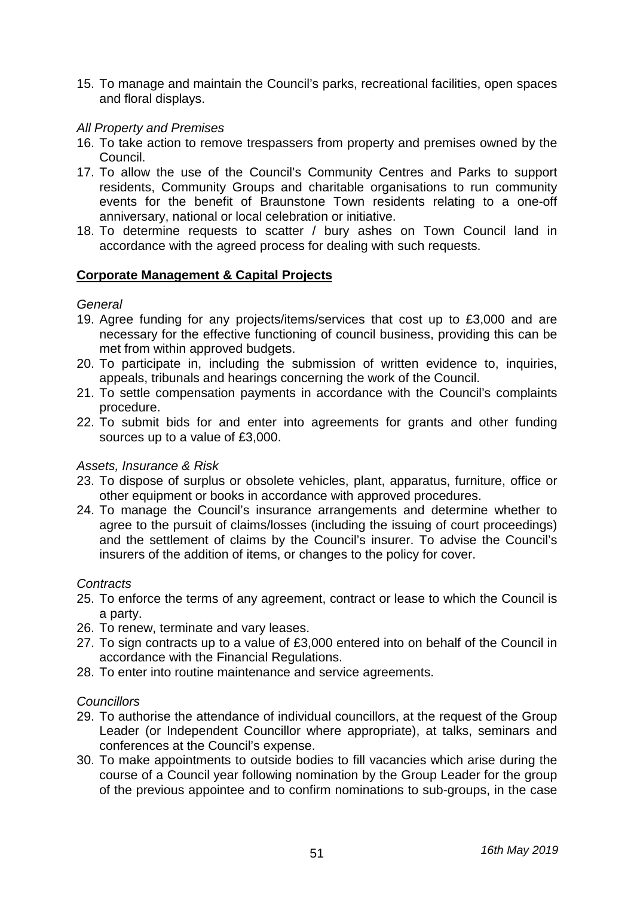15. To manage and maintain the Council's parks, recreational facilities, open spaces and floral displays.

#### *All Property and Premises*

- 16. To take action to remove trespassers from property and premises owned by the Council.
- 17. To allow the use of the Council's Community Centres and Parks to support residents, Community Groups and charitable organisations to run community events for the benefit of Braunstone Town residents relating to a one-off anniversary, national or local celebration or initiative.
- 18. To determine requests to scatter / bury ashes on Town Council land in accordance with the agreed process for dealing with such requests.

#### **Corporate Management & Capital Projects**

#### *General*

- 19. Agree funding for any projects/items/services that cost up to £3,000 and are necessary for the effective functioning of council business, providing this can be met from within approved budgets.
- 20. To participate in, including the submission of written evidence to, inquiries, appeals, tribunals and hearings concerning the work of the Council.
- 21. To settle compensation payments in accordance with the Council's complaints procedure.
- 22. To submit bids for and enter into agreements for grants and other funding sources up to a value of £3,000.

#### *Assets, Insurance & Risk*

- 23. To dispose of surplus or obsolete vehicles, plant, apparatus, furniture, office or other equipment or books in accordance with approved procedures.
- 24. To manage the Council's insurance arrangements and determine whether to agree to the pursuit of claims/losses (including the issuing of court proceedings) and the settlement of claims by the Council's insurer. To advise the Council's insurers of the addition of items, or changes to the policy for cover.

#### *Contracts*

- 25. To enforce the terms of any agreement, contract or lease to which the Council is a party.
- 26. To renew, terminate and vary leases.
- 27. To sign contracts up to a value of £3,000 entered into on behalf of the Council in accordance with the Financial Regulations.
- 28. To enter into routine maintenance and service agreements.

#### *Councillors*

- 29. To authorise the attendance of individual councillors, at the request of the Group Leader (or Independent Councillor where appropriate), at talks, seminars and conferences at the Council's expense.
- 30. To make appointments to outside bodies to fill vacancies which arise during the course of a Council year following nomination by the Group Leader for the group of the previous appointee and to confirm nominations to sub-groups, in the case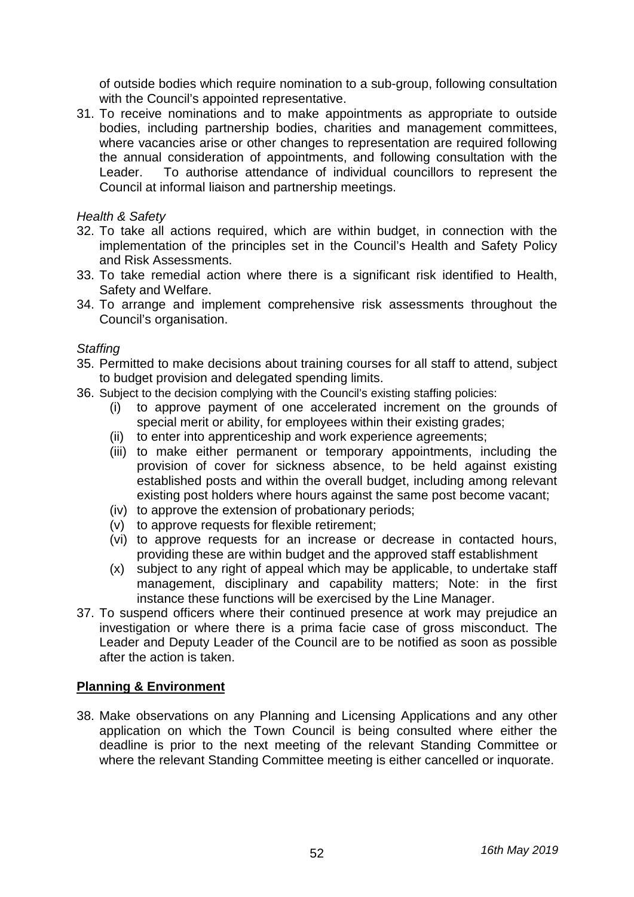of outside bodies which require nomination to a sub-group, following consultation with the Council's appointed representative.

31. To receive nominations and to make appointments as appropriate to outside bodies, including partnership bodies, charities and management committees, where vacancies arise or other changes to representation are required following the annual consideration of appointments, and following consultation with the Leader. To authorise attendance of individual councillors to represent the Council at informal liaison and partnership meetings.

#### *Health & Safety*

- 32. To take all actions required, which are within budget, in connection with the implementation of the principles set in the Council's Health and Safety Policy and Risk Assessments.
- 33. To take remedial action where there is a significant risk identified to Health, Safety and Welfare.
- 34. To arrange and implement comprehensive risk assessments throughout the Council's organisation.

#### *Staffing*

- 35. Permitted to make decisions about training courses for all staff to attend, subject to budget provision and delegated spending limits.
- 36. Subject to the decision complying with the Council's existing staffing policies:
	- (i) to approve payment of one accelerated increment on the grounds of special merit or ability, for employees within their existing grades;
	- (ii) to enter into apprenticeship and work experience agreements;
	- (iii) to make either permanent or temporary appointments, including the provision of cover for sickness absence, to be held against existing established posts and within the overall budget, including among relevant existing post holders where hours against the same post become vacant;
	- (iv) to approve the extension of probationary periods;
	- (v) to approve requests for flexible retirement;
	- (vi) to approve requests for an increase or decrease in contacted hours, providing these are within budget and the approved staff establishment
	- (x) subject to any right of appeal which may be applicable, to undertake staff management, disciplinary and capability matters; Note: in the first instance these functions will be exercised by the Line Manager.
- 37. To suspend officers where their continued presence at work may prejudice an investigation or where there is a prima facie case of gross misconduct. The Leader and Deputy Leader of the Council are to be notified as soon as possible after the action is taken.

#### **Planning & Environment**

38. Make observations on any Planning and Licensing Applications and any other application on which the Town Council is being consulted where either the deadline is prior to the next meeting of the relevant Standing Committee or where the relevant Standing Committee meeting is either cancelled or inquorate.